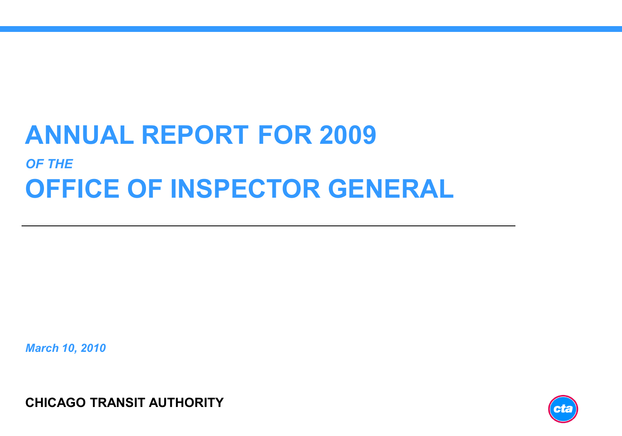# **ANNUAL REPORT FOR 2009** *OF THE* **OFFICE OF INSPECTOR GENERAL**

*March 10, 2010*

**CHICAGO TRANSIT AUTHORITY**

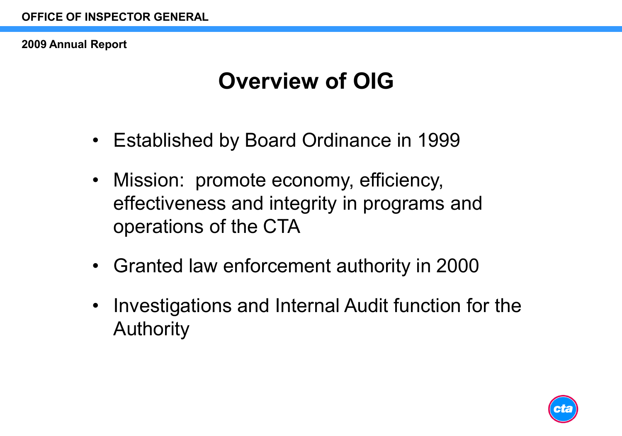# **Overview of OIG**

- Established by Board Ordinance in 1999
- Mission: promote economy, efficiency, effectiveness and integrity in programs and operations of the CTA
- Granted law enforcement authority in 2000
- Investigations and Internal Audit function for the Authority

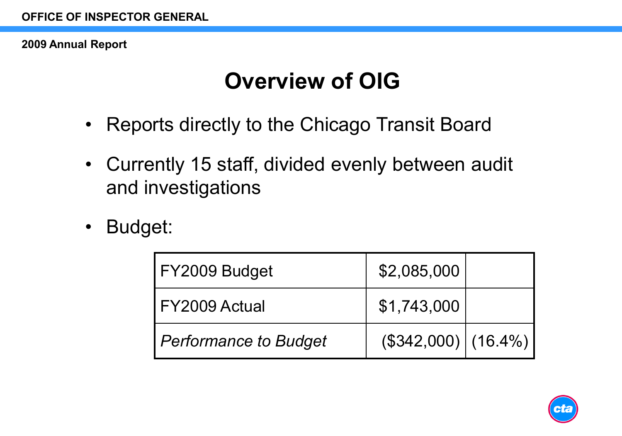# **Overview of OIG**

- Reports directly to the Chicago Transit Board
- Currently 15 staff, divided evenly between audit and investigations
- Budget:

| FY2009 Budget                | \$2,085,000                   |  |
|------------------------------|-------------------------------|--|
| FY2009 Actual                | \$1,743,000                   |  |
| <b>Performance to Budget</b> | $($ \$342,000) $($ 16.4%) $ $ |  |

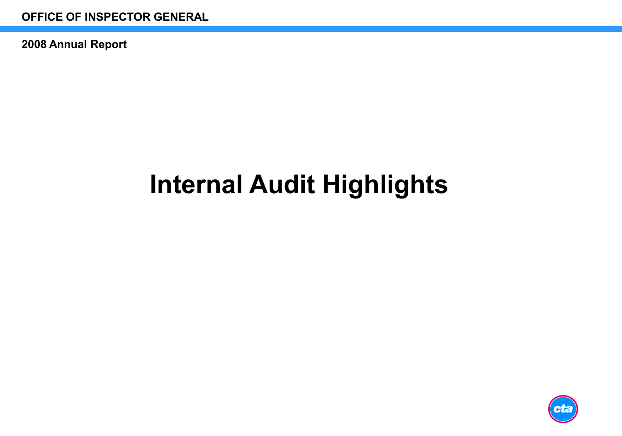# **Internal Audit Highlights**

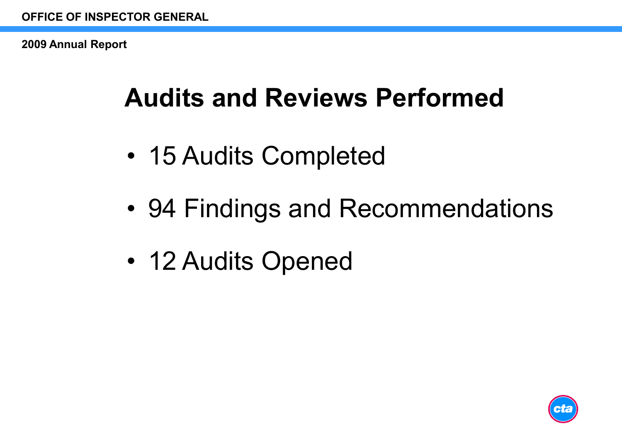# **Audits and Reviews Performed**

- 15 Audits Completed
- 94 Findings and Recommendations
- 12 Audits Opened

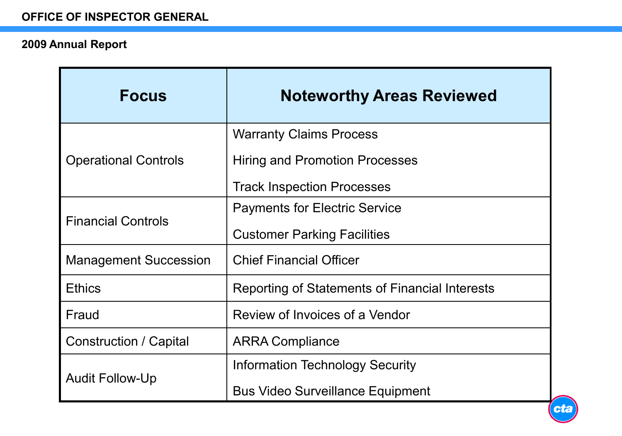| <b>Focus</b>                  | <b>Noteworthy Areas Reviewed</b>               |
|-------------------------------|------------------------------------------------|
|                               | <b>Warranty Claims Process</b>                 |
| <b>Operational Controls</b>   | <b>Hiring and Promotion Processes</b>          |
|                               | <b>Track Inspection Processes</b>              |
| <b>Financial Controls</b>     | <b>Payments for Electric Service</b>           |
|                               | <b>Customer Parking Facilities</b>             |
| <b>Management Succession</b>  | <b>Chief Financial Officer</b>                 |
| <b>Ethics</b>                 | Reporting of Statements of Financial Interests |
| Fraud                         | Review of Invoices of a Vendor                 |
| <b>Construction / Capital</b> | <b>ARRA Compliance</b>                         |
| <b>Audit Follow-Up</b>        | <b>Information Technology Security</b>         |
|                               | <b>Bus Video Surveillance Equipment</b>        |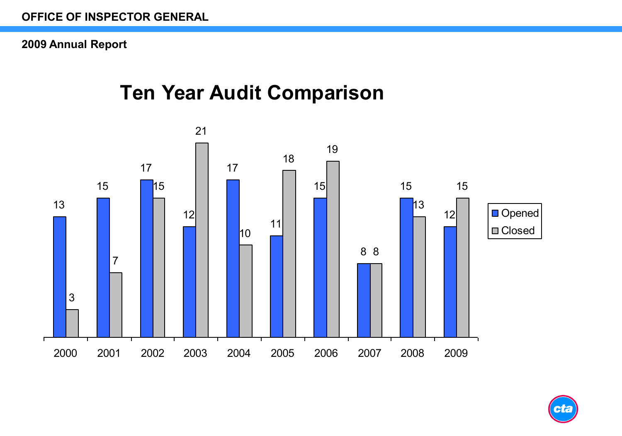### r Year Audit Comnarison<br>I **Ten Year Audit Comparison**



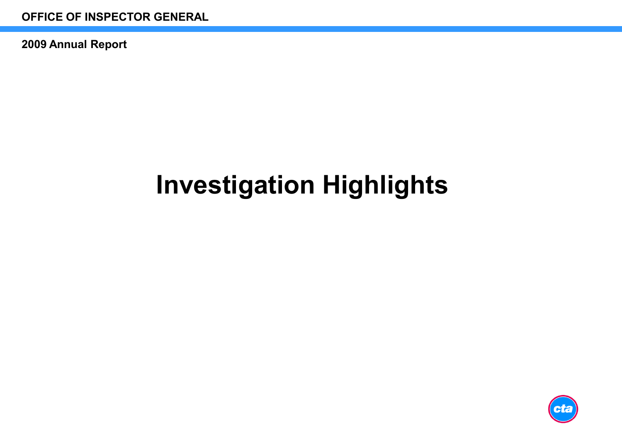# **Investigation Highlights**

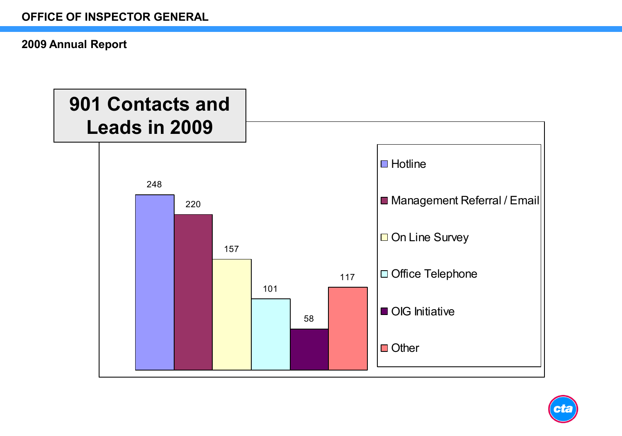

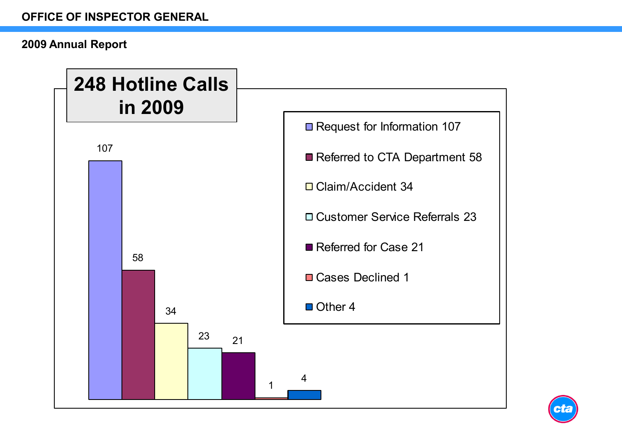

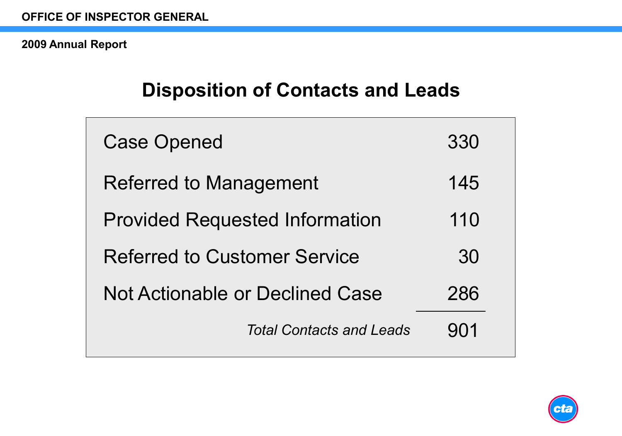### **Disposition of Contacts and Leads**

| <b>Case Opened</b>                     | 330 |
|----------------------------------------|-----|
| <b>Referred to Management</b>          | 145 |
| <b>Provided Requested Information</b>  | 110 |
| <b>Referred to Customer Service</b>    | 30  |
| <b>Not Actionable or Declined Case</b> | 286 |
| <b>Total Contacts and Leads</b>        | 901 |
|                                        |     |

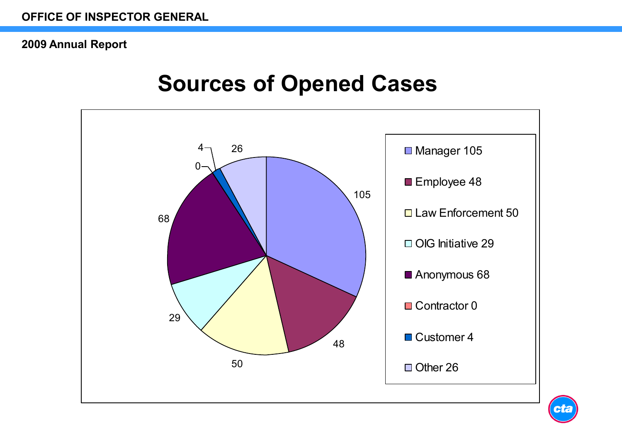### **Sources of Opened Cases**



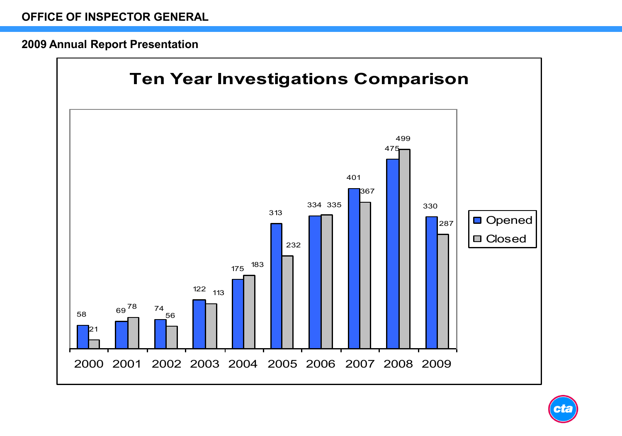#### **2009 Annual Report Presentation**



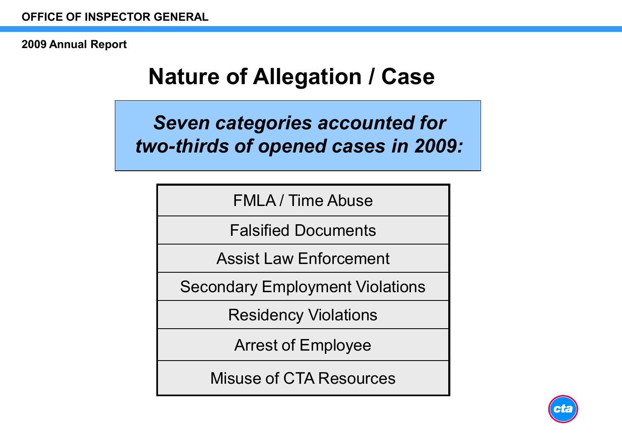# **Nature of Allegation / Case**

*Seven categories accounted for two-thirds of opened cases in 2009:*

FMLA / Time Abuse

Falsified Documents

Assist Law Enforcement

Secondary Employment Violations

Residency Violations

Arrest of Employee

Misuse of CTA Resources

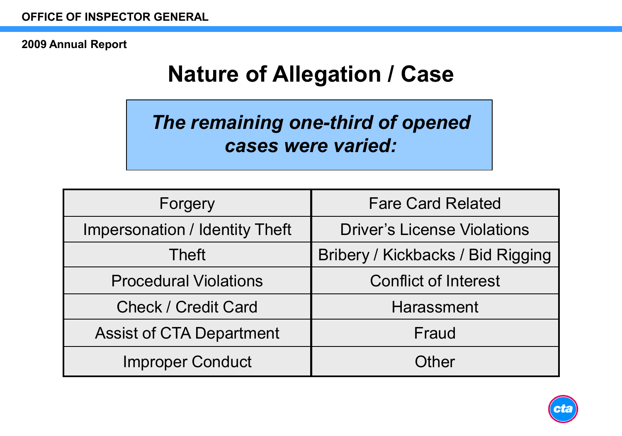# **Nature of Allegation / Case**

*The remaining one-third of opened cases were varied:*

| Forgery                               | <b>Fare Card Related</b>           |
|---------------------------------------|------------------------------------|
| <b>Impersonation / Identity Theft</b> | <b>Driver's License Violations</b> |
| <b>Theft</b>                          | Bribery / Kickbacks / Bid Rigging  |
| <b>Procedural Violations</b>          | <b>Conflict of Interest</b>        |
| <b>Check / Credit Card</b>            | Harassment                         |
| <b>Assist of CTA Department</b>       | Fraud                              |
| <b>Improper Conduct</b>               | Other                              |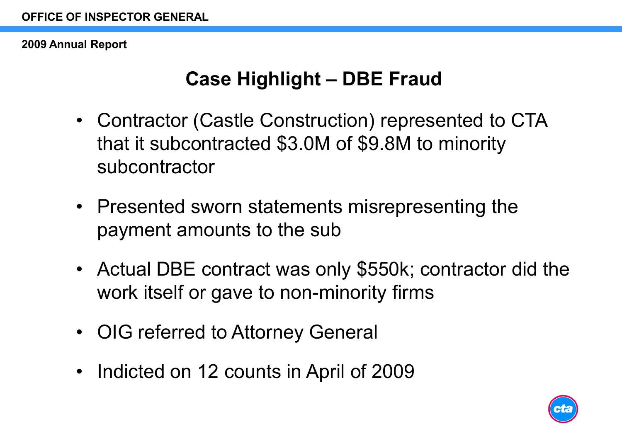### **Case Highlight – DBE Fraud**

- Contractor (Castle Construction) represented to CTA that it subcontracted \$3.0M of \$9.8M to minority subcontractor
- Presented sworn statements misrepresenting the payment amounts to the sub
- Actual DBE contract was only \$550k; contractor did the work itself or gave to non-minority firms
- OIG referred to Attorney General
- Indicted on 12 counts in April of 2009

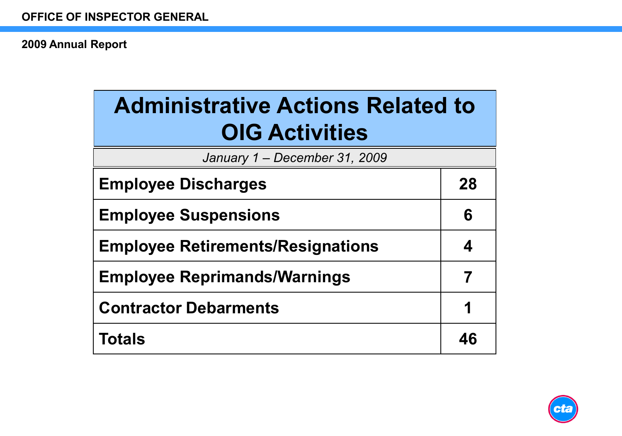| <b>Administrative Actions Related to</b><br><b>OIG Activities</b> |    |  |  |
|-------------------------------------------------------------------|----|--|--|
| January 1 - December 31, 2009                                     |    |  |  |
| <b>Employee Discharges</b>                                        | 28 |  |  |
| <b>Employee Suspensions</b>                                       | 6  |  |  |
| <b>Employee Retirements/Resignations</b>                          |    |  |  |
| <b>Employee Reprimands/Warnings</b>                               | 7  |  |  |
| <b>Contractor Debarments</b>                                      | 1  |  |  |
| Totals                                                            | 46 |  |  |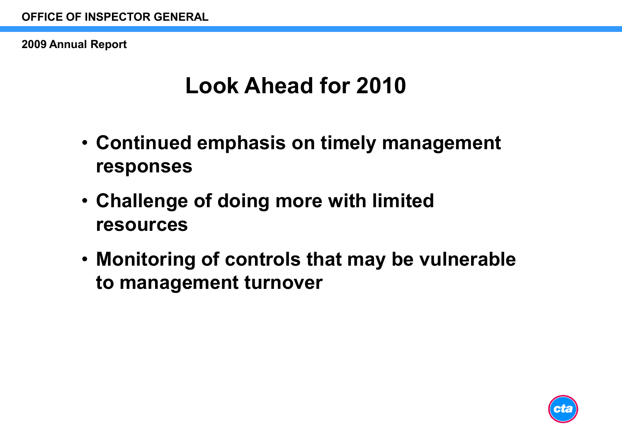## **Look Ahead for 2010**

- **Continued emphasis on timely management responses**
- **Challenge of doing more with limited resources**
- **Monitoring of controls that may be vulnerable to management turnover**